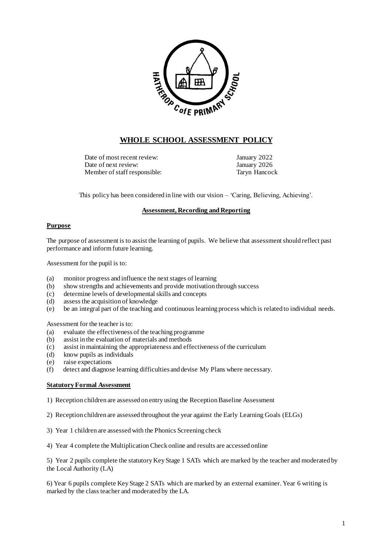

# **WHOLE SCHOOL ASSESSMENT POLICY**

Date of most recent review: January 2022 Date of next review: January 2026 Member of staff responsible: Taryn Hancock

This policy has been considered in line with our vision – 'Caring, Believing, Achieving'.

## **Assessment, Recording and Reporting**

### **Purpose**

The purpose of assessment is to assist the learning of pupils. We believe that assessment should reflect past performance and inform future learning.

Assessment for the pupil is to:

- (a) monitor progress and influence the next stages of learning
- (b) show strengths and achievements and provide motivation through success
- (c) determine levels of developmental skills and concepts
- (d) assess the acquisition of knowledge
- (e) be an integral part of the teaching and continuous learning process which is related to individual needs.

Assessment for the teacher is to:

- (a) evaluate the effectiveness of the teaching programme
- (b) assist in the evaluation of materials and methods
- (c) assist in maintaining the appropriateness and effectiveness of the curriculum
- (d) know pupils as individuals
- (e) raise expectations
- (f) detect and diagnose learning difficulties and devise My Plans where necessary.

### **Statutory Formal Assessment**

- 1) Reception children are assessed on entry using the Reception Baseline Assessment
- 2) Reception children are assessed throughout the year against the Early Learning Goals (ELGs)
- 3) Year 1 children are assessed with the Phonics Screening check
- 4) Year 4 complete the Multiplication Check online and results are accessed online

5) Year 2 pupils complete the statutory Key Stage 1 SATs which are marked by the teacher and moderated by the Local Authority (LA)

6) Year 6 pupils complete Key Stage 2 SATs which are marked by an external examiner. Year 6 writing is marked by the class teacher and moderated by the LA.